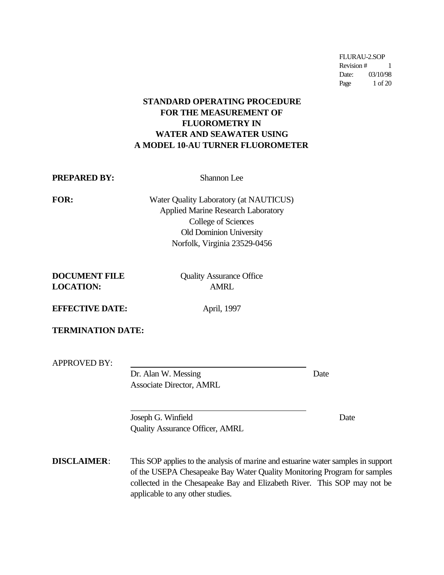FLURAU-2.SOP Revision # 1 Date: 03/10/98 Page 1 of 20

# **STANDARD OPERATING PROCEDURE FOR THE MEASUREMENT OF FLUOROMETRY IN WATER AND SEAWATER USING A MODEL 10-AU TURNER FLUOROMETER**

**PREPARED BY:** Shannon Lee

**FOR:** Water Quality Laboratory (at NAUTICUS) Applied Marine Research Laboratory College of Sciences Old Dominion University Norfolk, Virginia 23529-0456

| <b>DOCUMENT FILE</b> |  |
|----------------------|--|
| <b>LOCATION:</b>     |  |

**Quality Assurance Office LOCATION:** AMRL

**EFFECTIVE DATE:** April, 1997

**TERMINATION DATE:**

 $\overline{a}$ 

APPROVED BY:

Dr. Alan W. Messing Date Associate Director, AMRL

Joseph G. Winfield Date Quality Assurance Officer, AMRL

**DISCLAIMER**: This SOP applies to the analysis of marine and estuarine water samples in support of the USEPA Chesapeake Bay Water Quality Monitoring Program for samples collected in the Chesapeake Bay and Elizabeth River. This SOP may not be applicable to any other studies.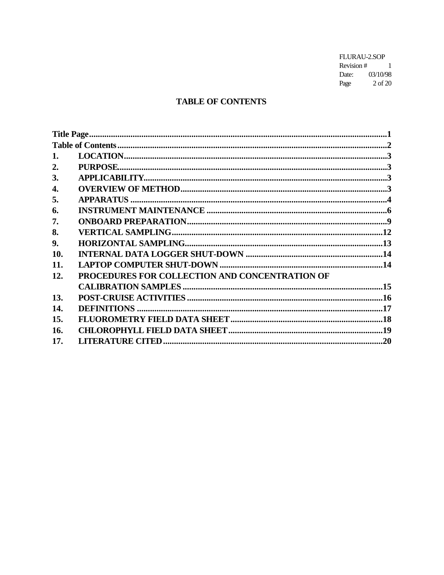FLURAU-2.SOP Revision #  $1$ Date: 03/10/98<br>Page 2 of 20

# **TABLE OF CONTENTS**

| 1.  |                                                |  |
|-----|------------------------------------------------|--|
| 2.  |                                                |  |
| 3.  |                                                |  |
| 4.  |                                                |  |
| 5.  |                                                |  |
| 6.  |                                                |  |
| 7.  |                                                |  |
| 8.  |                                                |  |
| 9.  |                                                |  |
| 10. |                                                |  |
| 11. |                                                |  |
| 12. | PROCEDURES FOR COLLECTION AND CONCENTRATION OF |  |
|     |                                                |  |
| 13. |                                                |  |
| 14. |                                                |  |
| 15. |                                                |  |
| 16. |                                                |  |
| 17. |                                                |  |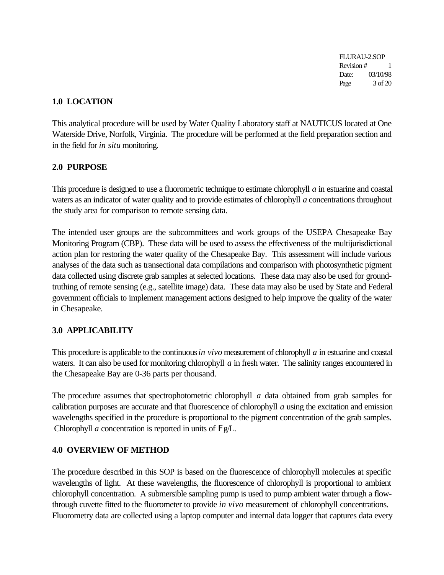FLURAU-2.SOP Revision # 1 Date: 03/10/98 Page 3 of 20

# **1.0 LOCATION**

This analytical procedure will be used by Water Quality Laboratory staff at NAUTICUS located at One Waterside Drive, Norfolk, Virginia. The procedure will be performed at the field preparation section and in the field for *in situ* monitoring.

# **2.0 PURPOSE**

This procedure is designed to use a fluorometric technique to estimate chlorophyll *a* in estuarine and coastal waters as an indicator of water quality and to provide estimates of chlorophyll *a* concentrations throughout the study area for comparison to remote sensing data.

The intended user groups are the subcommittees and work groups of the USEPA Chesapeake Bay Monitoring Program (CBP). These data will be used to assess the effectiveness of the multijurisdictional action plan for restoring the water quality of the Chesapeake Bay. This assessment will include various analyses of the data such as transectional data compilations and comparison with photosynthetic pigment data collected using discrete grab samples at selected locations. These data may also be used for groundtruthing of remote sensing (e.g., satellite image) data. These data may also be used by State and Federal government officials to implement management actions designed to help improve the quality of the water in Chesapeake.

# **3.0 APPLICABILITY**

This procedure is applicable to the continuous *in vivo* measurement of chlorophyll *a* in estuarine and coastal waters. It can also be used for monitoring chlorophyll *a* in fresh water. The salinity ranges encountered in the Chesapeake Bay are 0-36 parts per thousand.

The procedure assumes that spectrophotometric chlorophyll *a* data obtained from grab samples for calibration purposes are accurate and that fluorescence of chlorophyll *a* using the excitation and emission wavelengths specified in the procedure is proportional to the pigment concentration of the grab samples. Chlorophyll *a* concentration is reported in units of Fg/L.

# **4.0 OVERVIEW OF METHOD**

The procedure described in this SOP is based on the fluorescence of chlorophyll molecules at specific wavelengths of light. At these wavelengths, the fluorescence of chlorophyll is proportional to ambient chlorophyll concentration. A submersible sampling pump is used to pump ambient water through a flowthrough cuvette fitted to the fluorometer to provide *in vivo* measurement of chlorophyll concentrations. Fluorometry data are collected using a laptop computer and internal data logger that captures data every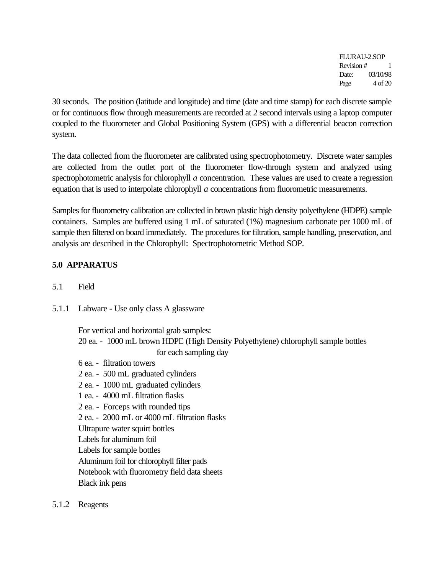FLURAU-2.SOP Revision # 1 Date: 03/10/98 Page  $4$  of 20

30 seconds. The position (latitude and longitude) and time (date and time stamp) for each discrete sample or for continuous flow through measurements are recorded at 2 second intervals using a laptop computer coupled to the fluorometer and Global Positioning System (GPS) with a differential beacon correction system.

The data collected from the fluorometer are calibrated using spectrophotometry. Discrete water samples are collected from the outlet port of the fluorometer flow-through system and analyzed using spectrophotometric analysis for chlorophyll *a* concentration. These values are used to create a regression equation that is used to interpolate chlorophyll *a* concentrations from fluorometric measurements.

Samples for fluorometry calibration are collected in brown plastic high density polyethylene (HDPE) sample containers. Samples are buffered using 1 mL of saturated (1%) magnesium carbonate per 1000 mL of sample then filtered on board immediately. The procedures for filtration, sample handling, preservation, and analysis are described in the Chlorophyll: Spectrophotometric Method SOP.

# **5.0 APPARATUS**

- 5.1 Field
- 5.1.1 Labware Use only class A glassware

For vertical and horizontal grab samples: 20 ea. - 1000 mL brown HDPE (High Density Polyethylene) chlorophyll sample bottles for each sampling day

- 6 ea. filtration towers
- 2 ea. 500 mL graduated cylinders
- 2 ea. 1000 mL graduated cylinders
- 1 ea. 4000 mL filtration flasks
- 2 ea. Forceps with rounded tips
- 2 ea. 2000 mL or 4000 mL filtration flasks
- Ultrapure water squirt bottles

Labels for aluminum foil

Labels for sample bottles

Aluminum foil for chlorophyll filter pads

Notebook with fluorometry field data sheets

Black ink pens

5.1.2 Reagents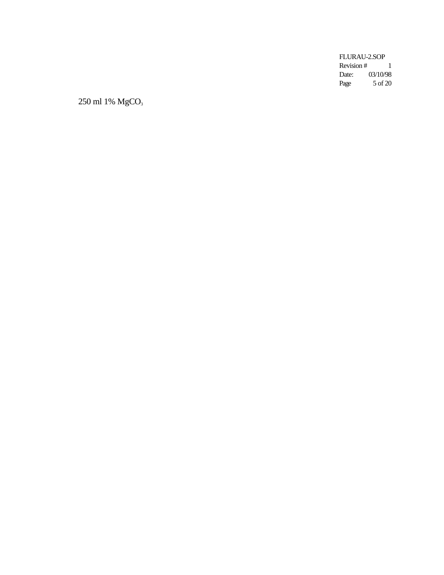FLURAU-2.SOP Revision  $#$ <br>Date: 0 1 03/10/98 Page 5 of 20

250 ml 1% MgCO<sub>3</sub>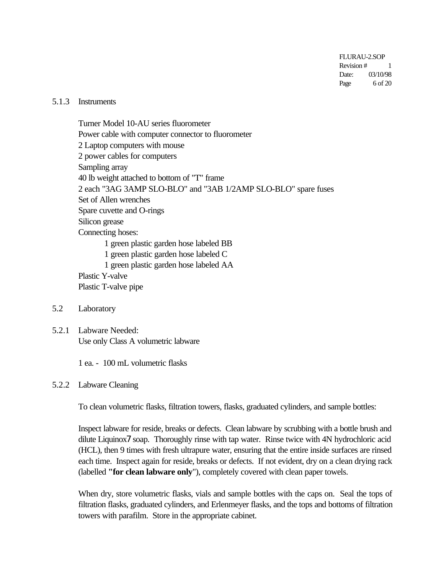FLURAU-2.SOP Revision # 1 Date: 03/10/98 Page  $6$  of 20

#### 5.1.3 Instruments

Turner Model 10-AU series fluorometer Power cable with computer connector to fluorometer 2 Laptop computers with mouse 2 power cables for computers Sampling array 40 lb weight attached to bottom of "T" frame 2 each "3AG 3AMP SLO-BLO" and "3AB 1/2AMP SLO-BLO" spare fuses Set of Allen wrenches Spare cuvette and O-rings Silicon grease Connecting hoses: 1 green plastic garden hose labeled BB 1 green plastic garden hose labeled C 1 green plastic garden hose labeled AA Plastic Y-valve Plastic T-valve pipe

- 5.2 Laboratory
- 5.2.1 Labware Needed: Use only Class A volumetric labware

1 ea. - 100 mL volumetric flasks

#### 5.2.2 Labware Cleaning

To clean volumetric flasks, filtration towers, flasks, graduated cylinders, and sample bottles:

Inspect labware for reside, breaks or defects. Clean labware by scrubbing with a bottle brush and dilute Liquinox7 soap. Thoroughly rinse with tap water. Rinse twice with 4N hydrochloric acid (HCL), then 9 times with fresh ultrapure water, ensuring that the entire inside surfaces are rinsed each time. Inspect again for reside, breaks or defects. If not evident, dry on a clean drying rack (labelled **"for clean labware only**"), completely covered with clean paper towels.

When dry, store volumetric flasks, vials and sample bottles with the caps on. Seal the tops of filtration flasks, graduated cylinders, and Erlenmeyer flasks, and the tops and bottoms of filtration towers with parafilm. Store in the appropriate cabinet.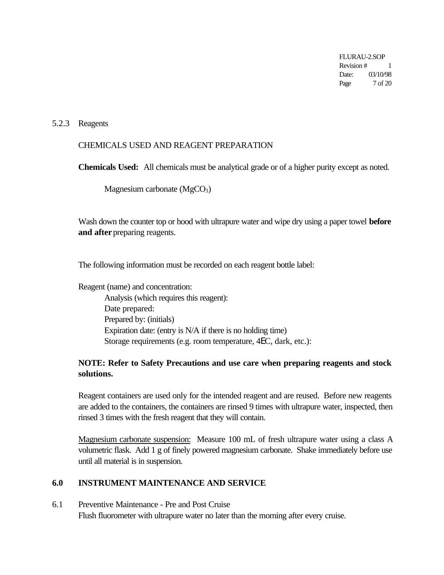FLURAU-2.SOP Revision # 1 Date: 03/10/98 Page 7 of 20

#### 5.2.3 Reagents

## CHEMICALS USED AND REAGENT PREPARATION

**Chemicals Used:** All chemicals must be analytical grade or of a higher purity except as noted.

Magnesium carbonate  $(MgCO<sub>3</sub>)$ 

Wash down the counter top or hood with ultrapure water and wipe dry using a paper towel **before and after** preparing reagents.

The following information must be recorded on each reagent bottle label:

Reagent (name) and concentration: Analysis (which requires this reagent): Date prepared: Prepared by: (initials) Expiration date: (entry is N/A if there is no holding time) Storage requirements (e.g. room temperature, 4EC, dark, etc.):

# **NOTE: Refer to Safety Precautions and use care when preparing reagents and stock solutions.**

Reagent containers are used only for the intended reagent and are reused. Before new reagents are added to the containers, the containers are rinsed 9 times with ultrapure water, inspected, then rinsed 3 times with the fresh reagent that they will contain.

Magnesium carbonate suspension: Measure 100 mL of fresh ultrapure water using a class A volumetric flask. Add 1 g of finely powered magnesium carbonate. Shake immediately before use until all material is in suspension.

#### **6.0 INSTRUMENT MAINTENANCE AND SERVICE**

#### 6.1 Preventive Maintenance - Pre and Post Cruise Flush fluorometer with ultrapure water no later than the morning after every cruise.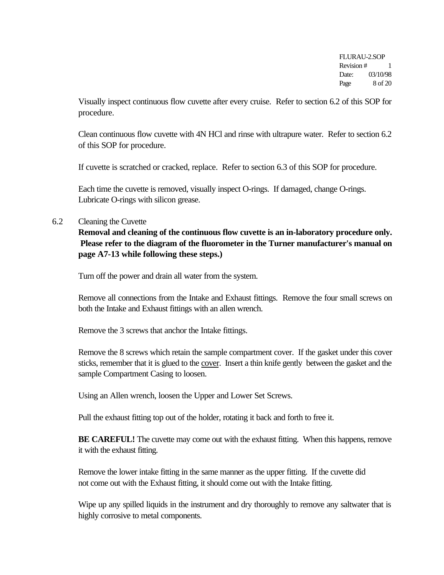FLURAU-2.SOP Revision # 1 Date: 03/10/98 Page  $8$  of 20

Visually inspect continuous flow cuvette after every cruise. Refer to section 6.2 of this SOP for procedure.

Clean continuous flow cuvette with 4N HCl and rinse with ultrapure water. Refer to section 6.2 of this SOP for procedure.

If cuvette is scratched or cracked, replace. Refer to section 6.3 of this SOP for procedure.

Each time the cuvette is removed, visually inspect O-rings. If damaged, change O-rings. Lubricate O-rings with silicon grease.

## 6.2 Cleaning the Cuvette

**Removal and cleaning of the continuous flow cuvette is an in-laboratory procedure only. Please refer to the diagram of the fluorometer in the Turner manufacturer's manual on page A7-13 while following these steps.)**

Turn off the power and drain all water from the system.

Remove all connections from the Intake and Exhaust fittings. Remove the four small screws on both the Intake and Exhaust fittings with an allen wrench.

Remove the 3 screws that anchor the Intake fittings.

Remove the 8 screws which retain the sample compartment cover. If the gasket under this cover sticks, remember that it is glued to the cover. Insert a thin knife gently between the gasket and the sample Compartment Casing to loosen.

Using an Allen wrench, loosen the Upper and Lower Set Screws.

Pull the exhaust fitting top out of the holder, rotating it back and forth to free it.

**BE CAREFUL!** The cuvette may come out with the exhaust fitting. When this happens, remove it with the exhaust fitting.

Remove the lower intake fitting in the same manner as the upper fitting. If the cuvette did not come out with the Exhaust fitting, it should come out with the Intake fitting.

Wipe up any spilled liquids in the instrument and dry thoroughly to remove any saltwater that is highly corrosive to metal components.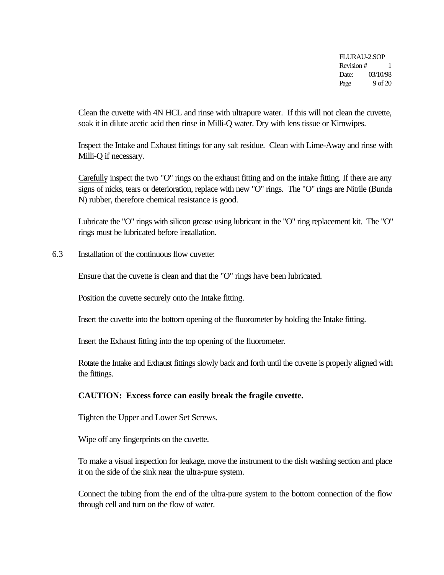FLURAU-2.SOP Revision # 1 Date: 03/10/98 Page  $9$  of 20

Clean the cuvette with 4N HCL and rinse with ultrapure water. If this will not clean the cuvette, soak it in dilute acetic acid then rinse in Milli-Q water. Dry with lens tissue or Kimwipes.

Inspect the Intake and Exhaust fittings for any salt residue. Clean with Lime-Away and rinse with Milli-Q if necessary.

Carefully inspect the two "O" rings on the exhaust fitting and on the intake fitting. If there are any signs of nicks, tears or deterioration, replace with new "O" rings. The "O" rings are Nitrile (Bunda N) rubber, therefore chemical resistance is good.

Lubricate the "O" rings with silicon grease using lubricant in the "O" ring replacement kit. The "O" rings must be lubricated before installation.

6.3 Installation of the continuous flow cuvette:

Ensure that the cuvette is clean and that the "O" rings have been lubricated.

Position the cuvette securely onto the Intake fitting.

Insert the cuvette into the bottom opening of the fluorometer by holding the Intake fitting.

Insert the Exhaust fitting into the top opening of the fluorometer.

Rotate the Intake and Exhaust fittings slowly back and forth until the cuvette is properly aligned with the fittings.

#### **CAUTION: Excess force can easily break the fragile cuvette.**

Tighten the Upper and Lower Set Screws.

Wipe off any fingerprints on the cuvette.

To make a visual inspection for leakage, move the instrument to the dish washing section and place it on the side of the sink near the ultra-pure system.

Connect the tubing from the end of the ultra-pure system to the bottom connection of the flow through cell and turn on the flow of water.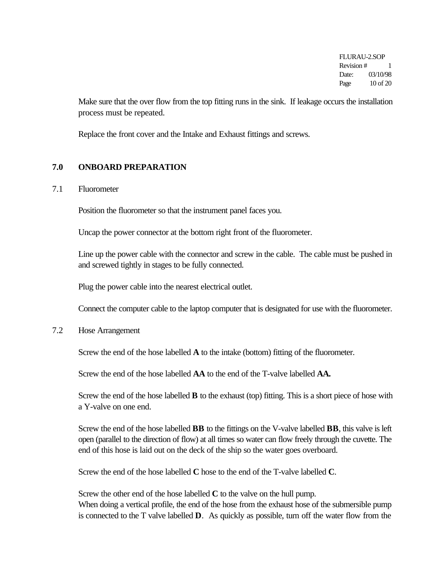FLURAU-2.SOP Revision # 1 Date: 03/10/98 Page 10 of 20

Make sure that the over flow from the top fitting runs in the sink. If leakage occurs the installation process must be repeated.

Replace the front cover and the Intake and Exhaust fittings and screws.

## **7.0 ONBOARD PREPARATION**

#### 7.1 Fluorometer

Position the fluorometer so that the instrument panel faces you.

Uncap the power connector at the bottom right front of the fluorometer.

Line up the power cable with the connector and screw in the cable. The cable must be pushed in and screwed tightly in stages to be fully connected.

Plug the power cable into the nearest electrical outlet.

Connect the computer cable to the laptop computer that is designated for use with the fluorometer.

7.2 Hose Arrangement

Screw the end of the hose labelled **A** to the intake (bottom) fitting of the fluorometer.

Screw the end of the hose labelled **AA** to the end of the T-valve labelled **AA.**

Screw the end of the hose labelled **B** to the exhaust (top) fitting. This is a short piece of hose with a Y-valve on one end.

Screw the end of the hose labelled **BB** to the fittings on the V-valve labelled **BB**, this valve is left open (parallel to the direction of flow) at all times so water can flow freely through the cuvette. The end of this hose is laid out on the deck of the ship so the water goes overboard.

Screw the end of the hose labelled **C** hose to the end of the T-valve labelled **C**.

Screw the other end of the hose labelled **C** to the valve on the hull pump. When doing a vertical profile, the end of the hose from the exhaust hose of the submersible pump is connected to the T valve labelled **D**. As quickly as possible, turn off the water flow from the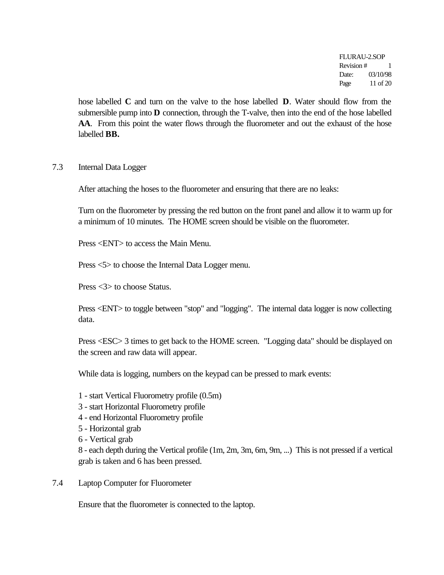FLURAU-2.SOP Revision # 1 Date: 03/10/98 Page 11 of 20

hose labelled **C** and turn on the valve to the hose labelled **D**. Water should flow from the submersible pump into **D** connection, through the T-valve, then into the end of the hose labelled **AA**. From this point the water flows through the fluorometer and out the exhaust of the hose labelled **BB.**

#### 7.3 Internal Data Logger

After attaching the hoses to the fluorometer and ensuring that there are no leaks:

Turn on the fluorometer by pressing the red button on the front panel and allow it to warm up for a minimum of 10 minutes. The HOME screen should be visible on the fluorometer.

Press <ENT> to access the Main Menu.

Press <5> to choose the Internal Data Logger menu.

Press <3> to choose Status.

Press <ENT> to toggle between "stop" and "logging". The internal data logger is now collecting data.

Press <ESC> 3 times to get back to the HOME screen. "Logging data" should be displayed on the screen and raw data will appear.

While data is logging, numbers on the keypad can be pressed to mark events:

- 1 start Vertical Fluorometry profile (0.5m)
- 3 start Horizontal Fluorometry profile
- 4 end Horizontal Fluorometry profile
- 5 Horizontal grab
- 6 Vertical grab

8 - each depth during the Vertical profile (1m, 2m, 3m, 6m, 9m, ...) This is not pressed if a vertical grab is taken and 6 has been pressed.

7.4 Laptop Computer for Fluorometer

Ensure that the fluorometer is connected to the laptop.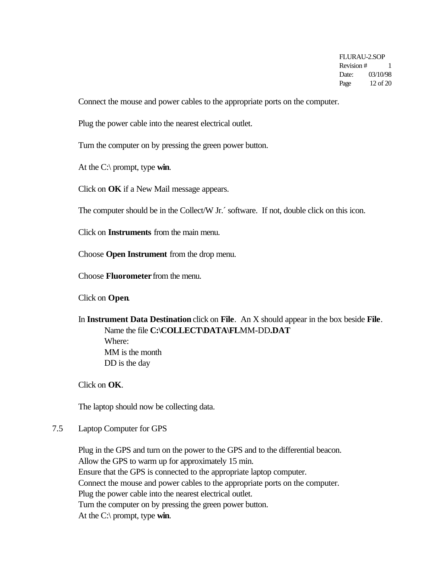FLURAU-2.SOP Revision # 1 Date: 03/10/98 Page 12 of 20

Connect the mouse and power cables to the appropriate ports on the computer.

Plug the power cable into the nearest electrical outlet.

Turn the computer on by pressing the green power button.

At the C:\ prompt, type **win**.

Click on **OK** if a New Mail message appears.

The computer should be in the Collect/W Jr.´ software. If not, double click on this icon.

Click on **Instruments** from the main menu.

Choose **Open Instrument** from the drop menu.

Choose **Fluorometer** from the menu.

Click on **Open**.

In **Instrument Data Destination** click on **File**. An X should appear in the box beside **File**. Name the file **C:\COLLECT\DATA\FLMM-DD.DAT** Where: MM is the month DD is the day

Click on **OK**.

The laptop should now be collecting data.

7.5 Laptop Computer for GPS

Plug in the GPS and turn on the power to the GPS and to the differential beacon. Allow the GPS to warm up for approximately 15 min. Ensure that the GPS is connected to the appropriate laptop computer. Connect the mouse and power cables to the appropriate ports on the computer. Plug the power cable into the nearest electrical outlet. Turn the computer on by pressing the green power button. At the C:\ prompt, type **win**.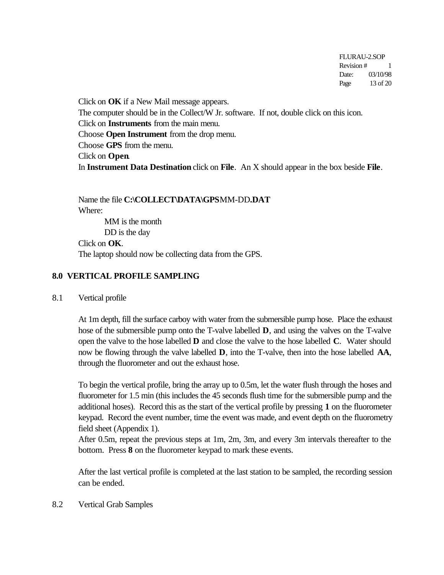FLURAU-2.SOP Revision # 1 Date: 03/10/98 Page 13 of 20

Click on **OK** if a New Mail message appears. The computer should be in the Collect/W Jr. software. If not, double click on this icon. Click on **Instruments** from the main menu. Choose **Open Instrument** from the drop menu. Choose **GPS** from the menu. Click on **Open**. In **Instrument Data Destination** click on **File**. An X should appear in the box beside **File**.

Name the file **C:\COLLECT\DATA\GPSMM-DD.DAT** Where: MM is the month DD is the day Click on **OK**.

# The laptop should now be collecting data from the GPS.

## **8.0 VERTICAL PROFILE SAMPLING**

8.1 Vertical profile

At 1m depth, fill the surface carboy with water from the submersible pump hose. Place the exhaust hose of the submersible pump onto the T-valve labelled **D**, and using the valves on the T-valve open the valve to the hose labelled **D** and close the valve to the hose labelled **C**. Water should now be flowing through the valve labelled **D**, into the T-valve, then into the hose labelled **AA**, through the fluorometer and out the exhaust hose.

To begin the vertical profile, bring the array up to 0.5m, let the water flush through the hoses and fluorometer for 1.5 min (this includes the 45 seconds flush time for the submersible pump and the additional hoses). Record this as the start of the vertical profile by pressing **1** on the fluorometer keypad. Record the event number, time the event was made, and event depth on the fluorometry field sheet (Appendix 1).

After 0.5m, repeat the previous steps at 1m, 2m, 3m, and every 3m intervals thereafter to the bottom. Press **8** on the fluorometer keypad to mark these events.

After the last vertical profile is completed at the last station to be sampled, the recording session can be ended.

8.2 Vertical Grab Samples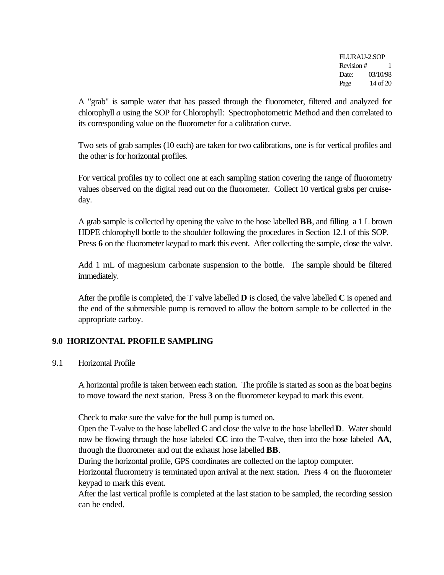FLURAU-2.SOP Revision # 1 Date: 03/10/98 Page 14 of 20

A "grab" is sample water that has passed through the fluorometer, filtered and analyzed for chlorophyll *a* using the SOP for Chlorophyll: Spectrophotometric Method and then correlated to its corresponding value on the fluorometer for a calibration curve.

Two sets of grab samples (10 each) are taken for two calibrations, one is for vertical profiles and the other is for horizontal profiles.

For vertical profiles try to collect one at each sampling station covering the range of fluorometry values observed on the digital read out on the fluorometer. Collect 10 vertical grabs per cruiseday.

A grab sample is collected by opening the valve to the hose labelled **BB**, and filling a 1 L brown HDPE chlorophyll bottle to the shoulder following the procedures in Section 12.1 of this SOP. Press 6 on the fluorometer keypad to mark this event. After collecting the sample, close the valve.

Add 1 mL of magnesium carbonate suspension to the bottle. The sample should be filtered immediately.

After the profile is completed, the T valve labelled **D** is closed, the valve labelled **C** is opened and the end of the submersible pump is removed to allow the bottom sample to be collected in the appropriate carboy.

# **9.0 HORIZONTAL PROFILE SAMPLING**

9.1 Horizontal Profile

A horizontal profile is taken between each station. The profile is started as soon as the boat begins to move toward the next station. Press **3** on the fluorometer keypad to mark this event.

Check to make sure the valve for the hull pump is turned on.

Open the T-valve to the hose labelled **C** and close the valve to the hose labelled **D**. Water should now be flowing through the hose labeled **CC** into the T-valve, then into the hose labeled **AA**, through the fluorometer and out the exhaust hose labelled **BB**.

During the horizontal profile, GPS coordinates are collected on the laptop computer.

Horizontal fluorometry is terminated upon arrival at the next station. Press **4** on the fluorometer keypad to mark this event.

After the last vertical profile is completed at the last station to be sampled, the recording session can be ended.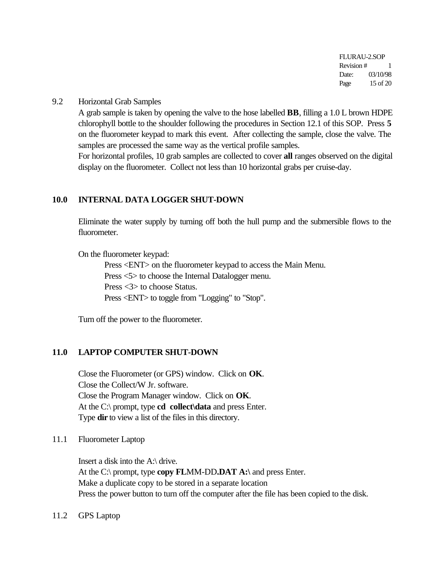FLURAU-2.SOP Revision # 1 Date: 03/10/98 Page 15 of 20

#### 9.2 Horizontal Grab Samples

A grab sample is taken by opening the valve to the hose labelled **BB**, filling a 1.0 L brown HDPE chlorophyll bottle to the shoulder following the procedures in Section 12.1 of this SOP. Press **5** on the fluorometer keypad to mark this event. After collecting the sample, close the valve. The samples are processed the same way as the vertical profile samples.

For horizontal profiles, 10 grab samples are collected to cover **all** ranges observed on the digital display on the fluorometer. Collect not less than 10 horizontal grabs per cruise-day.

#### **10.0 INTERNAL DATA LOGGER SHUT-DOWN**

Eliminate the water supply by turning off both the hull pump and the submersible flows to the fluorometer.

On the fluorometer keypad:

Press <ENT> on the fluorometer keypad to access the Main Menu. Press <5> to choose the Internal Datalogger menu. Press <3> to choose Status. Press <ENT> to toggle from "Logging" to "Stop".

Turn off the power to the fluorometer.

#### **11.0 LAPTOP COMPUTER SHUT-DOWN**

Close the Fluorometer (or GPS) window. Click on **OK**. Close the Collect/W Jr. software. Close the Program Manager window. Click on **OK**. At the C:\ prompt, type **cd collect\data** and press Enter. Type **dir** to view a list of the files in this directory.

11.1 Fluorometer Laptop

Insert a disk into the A:\ drive. At the C:\ prompt, type **copy FL**MM-DD**.DAT A:\** and press Enter. Make a duplicate copy to be stored in a separate location Press the power button to turn off the computer after the file has been copied to the disk.

#### 11.2 GPS Laptop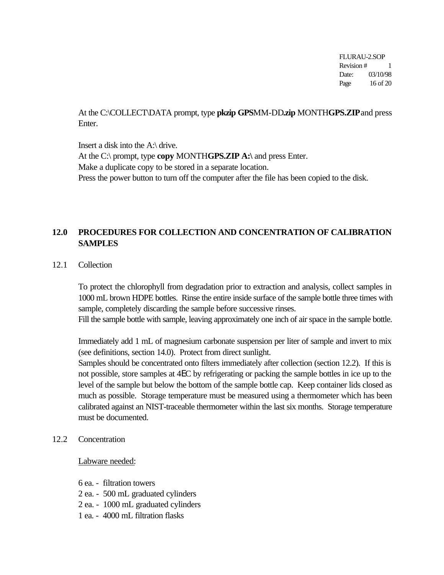FLURAU-2.SOP Revision # 1 Date: 03/10/98 Page 16 of 20

At the C:\COLLECT\DATA prompt, type **pkzip GPS**MM-DD**.zip** MONTH**GPS.ZIP** and press Enter.

Insert a disk into the A:\ drive. At the C:\ prompt, type **copy** MONTH**GPS.ZIP A:\** and press Enter. Make a duplicate copy to be stored in a separate location. Press the power button to turn off the computer after the file has been copied to the disk.

# **12.0 PROCEDURES FOR COLLECTION AND CONCENTRATION OF CALIBRATION SAMPLES**

12.1 Collection

To protect the chlorophyll from degradation prior to extraction and analysis, collect samples in 1000 mL brown HDPE bottles. Rinse the entire inside surface of the sample bottle three times with sample, completely discarding the sample before successive rinses.

Fill the sample bottle with sample, leaving approximately one inch of air space in the sample bottle.

Immediately add 1 mL of magnesium carbonate suspension per liter of sample and invert to mix (see definitions, section 14.0). Protect from direct sunlight.

Samples should be concentrated onto filters immediately after collection (section 12.2). If this is not possible, store samples at 4EC by refrigerating or packing the sample bottles in ice up to the level of the sample but below the bottom of the sample bottle cap. Keep container lids closed as much as possible. Storage temperature must be measured using a thermometer which has been calibrated against an NIST-traceable thermometer within the last six months. Storage temperature must be documented.

12.2 Concentration

#### Labware needed:

- 6 ea. filtration towers
- 2 ea. 500 mL graduated cylinders
- 2 ea. 1000 mL graduated cylinders
- 1 ea. 4000 mL filtration flasks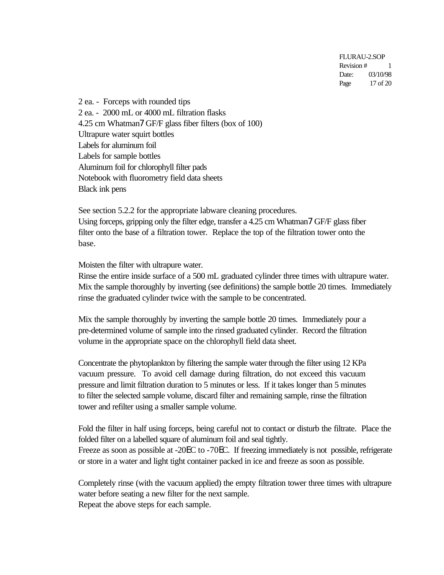FLURAU-2.SOP Revision # 1 Date: 03/10/98 Page 17 of 20

2 ea. - Forceps with rounded tips 2 ea. - 2000 mL or 4000 mL filtration flasks 4.25 cm Whatman7 GF/F glass fiber filters (box of 100) Ultrapure water squirt bottles Labels for aluminum foil Labels for sample bottles Aluminum foil for chlorophyll filter pads Notebook with fluorometry field data sheets Black ink pens

See section 5.2.2 for the appropriate labware cleaning procedures. Using forceps, gripping only the filter edge, transfer a 4.25 cm Whatman7 GF/F glass fiber filter onto the base of a filtration tower. Replace the top of the filtration tower onto the base.

Moisten the filter with ultrapure water.

Rinse the entire inside surface of a 500 mL graduated cylinder three times with ultrapure water. Mix the sample thoroughly by inverting (see definitions) the sample bottle 20 times. Immediately rinse the graduated cylinder twice with the sample to be concentrated.

Mix the sample thoroughly by inverting the sample bottle 20 times. Immediately pour a pre-determined volume of sample into the rinsed graduated cylinder. Record the filtration volume in the appropriate space on the chlorophyll field data sheet.

Concentrate the phytoplankton by filtering the sample water through the filter using 12 KPa vacuum pressure. To avoid cell damage during filtration, do not exceed this vacuum pressure and limit filtration duration to 5 minutes or less. If it takes longer than 5 minutes to filter the selected sample volume, discard filter and remaining sample, rinse the filtration tower and refilter using a smaller sample volume.

Fold the filter in half using forceps, being careful not to contact or disturb the filtrate. Place the folded filter on a labelled square of aluminum foil and seal tightly.

Freeze as soon as possible at -20EC to -70EC. If freezing immediately is not possible, refrigerate or store in a water and light tight container packed in ice and freeze as soon as possible.

Completely rinse (with the vacuum applied) the empty filtration tower three times with ultrapure water before seating a new filter for the next sample. Repeat the above steps for each sample.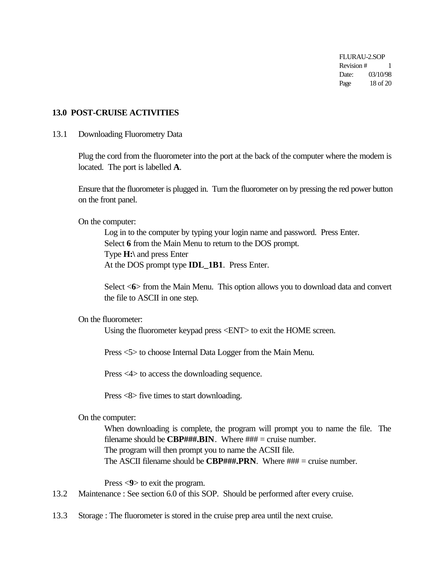FLURAU-2.SOP Revision # 1 Date: 03/10/98 Page 18 of 20

#### **13.0 POST-CRUISE ACTIVITIES**

#### 13.1 Downloading Fluorometry Data

Plug the cord from the fluorometer into the port at the back of the computer where the modem is located. The port is labelled **A**.

Ensure that the fluorometer is plugged in. Turn the fluorometer on by pressing the red power button on the front panel.

On the computer:

Log in to the computer by typing your login name and password. Press Enter. Select **6** from the Main Menu to return to the DOS prompt. Type **H:\** and press Enter At the DOS prompt type **IDL\_1B1**. Press Enter.

Select <**6**> from the Main Menu. This option allows you to download data and convert the file to ASCII in one step.

On the fluorometer:

Using the fluorometer keypad press <ENT> to exit the HOME screen.

Press <5> to choose Internal Data Logger from the Main Menu.

Press <4> to access the downloading sequence.

Press <8> five times to start downloading.

On the computer:

When downloading is complete, the program will prompt you to name the file. The filename should be **CBP###.BIN**. Where  $\# \# \# =$  cruise number. The program will then prompt you to name the ACSII file. The ASCII filename should be  $CBP\#H\#PRN$ . Where  $\#H\#P$  = cruise number.

Press <**9**> to exit the program.

- 13.2 Maintenance : See section 6.0 of this SOP. Should be performed after every cruise.
- 13.3 Storage : The fluorometer is stored in the cruise prep area until the next cruise.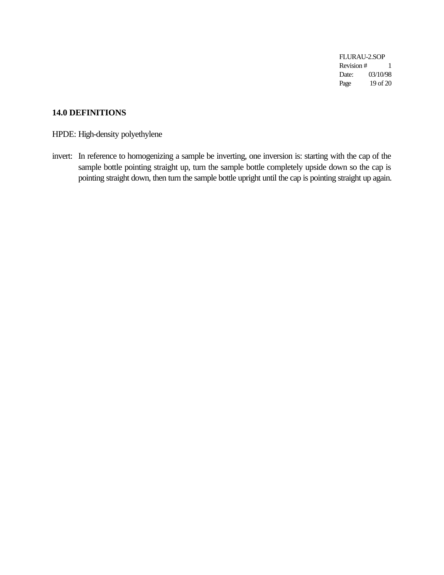FLURAU-2.SOP Revision # 1 Date: 03/10/98 Page 19 of 20

# **14.0 DEFINITIONS**

HPDE: High-density polyethylene

invert: In reference to homogenizing a sample be inverting, one inversion is: starting with the cap of the sample bottle pointing straight up, turn the sample bottle completely upside down so the cap is pointing straight down, then turn the sample bottle upright until the cap is pointing straight up again.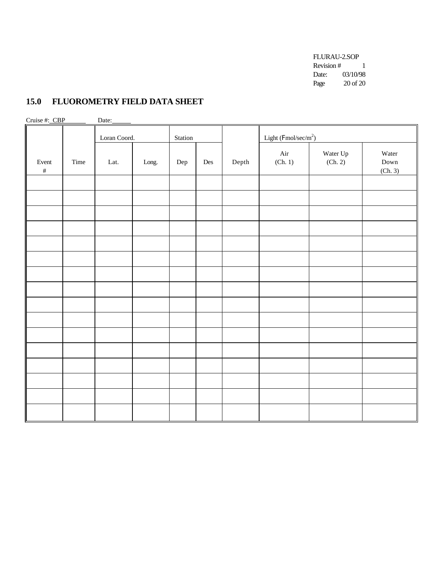FLURAU-2.SOP Revision  $# 1$ Date: 03/10/98 Page 20 of 20

# **15.0 FLUOROMETRY FIELD DATA SHEET**

| Cruise #: CBP<br>Date: |      |              |       |         |     |       |                        |                     |                                           |  |  |
|------------------------|------|--------------|-------|---------|-----|-------|------------------------|---------------------|-------------------------------------------|--|--|
|                        |      | Loran Coord. |       | Station |     |       | Light $(Fmol/sec/m^2)$ |                     |                                           |  |  |
| Event<br>$\#$          | Time | Lat.         | Long. | Dep     | Des | Depth | Air<br>(Ch. 1)         | Water Up<br>(Ch. 2) | Water<br>$\operatorname{Down}$<br>(Ch. 3) |  |  |
|                        |      |              |       |         |     |       |                        |                     |                                           |  |  |
|                        |      |              |       |         |     |       |                        |                     |                                           |  |  |
|                        |      |              |       |         |     |       |                        |                     |                                           |  |  |
|                        |      |              |       |         |     |       |                        |                     |                                           |  |  |
|                        |      |              |       |         |     |       |                        |                     |                                           |  |  |
|                        |      |              |       |         |     |       |                        |                     |                                           |  |  |
|                        |      |              |       |         |     |       |                        |                     |                                           |  |  |
|                        |      |              |       |         |     |       |                        |                     |                                           |  |  |
|                        |      |              |       |         |     |       |                        |                     |                                           |  |  |
|                        |      |              |       |         |     |       |                        |                     |                                           |  |  |
|                        |      |              |       |         |     |       |                        |                     |                                           |  |  |
|                        |      |              |       |         |     |       |                        |                     |                                           |  |  |
|                        |      |              |       |         |     |       |                        |                     |                                           |  |  |
|                        |      |              |       |         |     |       |                        |                     |                                           |  |  |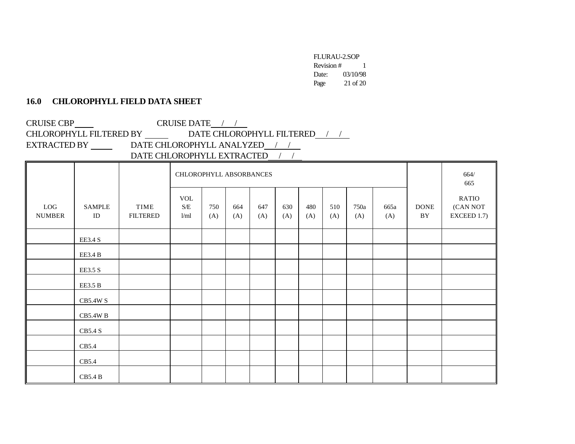FLURAU-2.SOP Revision # 1 Date: 03/10/98 Page 21 of 20

## **16.0 CHLOROPHYLL FIELD DATA SHEET**

CRUISE CBP CRUISE DATE / / CHLOROPHYLL FILTERED BY  $\_\_\_\_\_\$ DATE CHLOROPHYLL FILTERED / / EXTRACTED BY \_\_\_\_\_\_\_\_\_\_\_DATE CHLOROPHYLL ANALYZED\_\_\_\_\_\_\_\_\_\_ DATE CHLOROPHYLL EXTRACTED / /

|                      |                           |                         | CHLOROPHYLL ABSORBANCES                                                    |            |            |            |            |            |            |             |             |                   | 664/<br>665                      |
|----------------------|---------------------------|-------------------------|----------------------------------------------------------------------------|------------|------------|------------|------------|------------|------------|-------------|-------------|-------------------|----------------------------------|
| LOG<br><b>NUMBER</b> | <b>SAMPLE</b><br>$\rm ID$ | TIME<br><b>FILTERED</b> | <b>VOL</b><br>$\ensuremath{\mathrm{S}}/\ensuremath{\mathrm{E}}$<br>$l$ /ml | 750<br>(A) | 664<br>(A) | 647<br>(A) | 630<br>(A) | 480<br>(A) | 510<br>(A) | 750a<br>(A) | 665a<br>(A) | <b>DONE</b><br>BY | RATIO<br>(CAN NOT<br>EXCEED 1.7) |
|                      | EE3.4 S                   |                         |                                                                            |            |            |            |            |            |            |             |             |                   |                                  |
|                      | EE3.4 B                   |                         |                                                                            |            |            |            |            |            |            |             |             |                   |                                  |
|                      | EE3.5 S                   |                         |                                                                            |            |            |            |            |            |            |             |             |                   |                                  |
|                      | EE3.5 B                   |                         |                                                                            |            |            |            |            |            |            |             |             |                   |                                  |
|                      | CB5.4W S                  |                         |                                                                            |            |            |            |            |            |            |             |             |                   |                                  |
|                      | $CB5.4W$ B                |                         |                                                                            |            |            |            |            |            |            |             |             |                   |                                  |
|                      | CB5.4S                    |                         |                                                                            |            |            |            |            |            |            |             |             |                   |                                  |
|                      | CB5.4                     |                         |                                                                            |            |            |            |            |            |            |             |             |                   |                                  |
|                      | CB5.4                     |                         |                                                                            |            |            |            |            |            |            |             |             |                   |                                  |
|                      | <b>CB5.4 B</b>            |                         |                                                                            |            |            |            |            |            |            |             |             |                   |                                  |